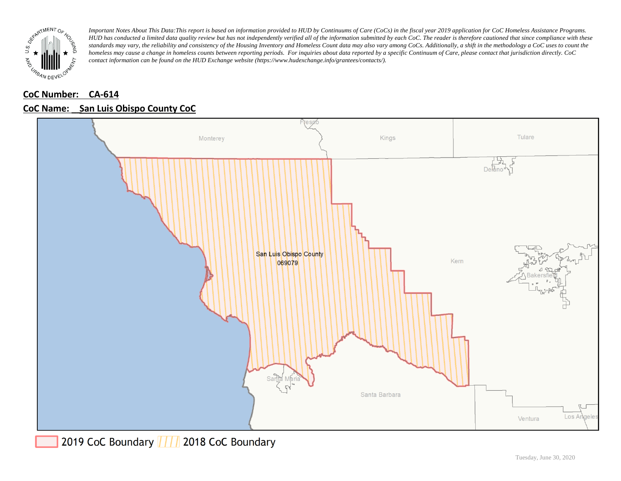

# **CoC Number: CA-614**

## **CoC Name: \_\_ San Luis Obispo County CoC**

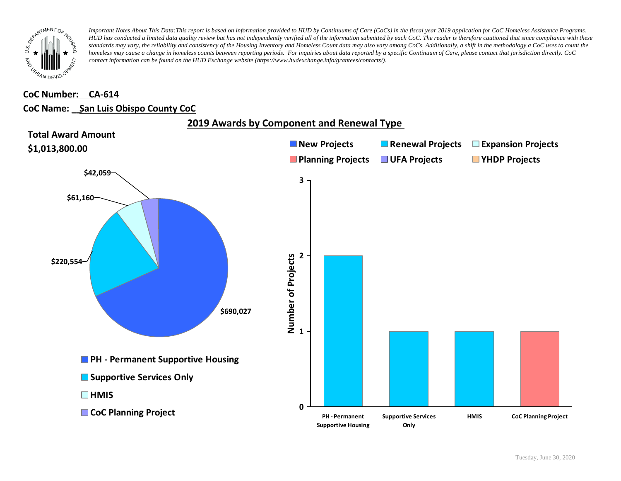

#### **CoC Number: CA-614**

#### **CoC Name: \_\_ San Luis Obispo County CoC**

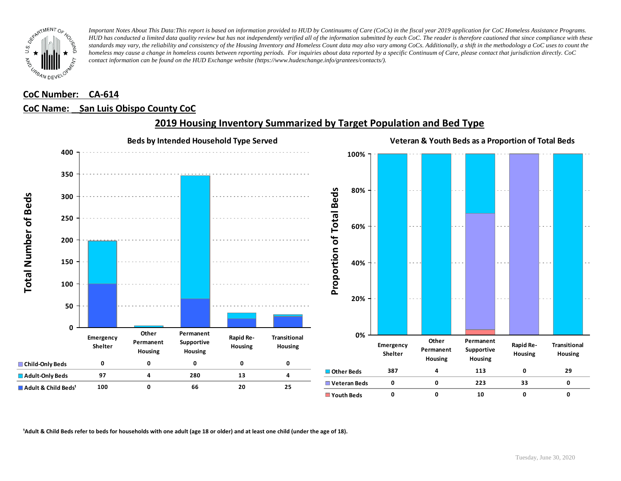

### **CoC Number: CA-614**

#### **CoC Name: \_\_ San Luis Obispo County CoC**



## **2019 Housing Inventory Summarized by Target Population and Bed Type**

<sup>1</sup> Adult & Child Beds refer to beds for households with one adult (age 18 or older) and at least one child (under the age of 18).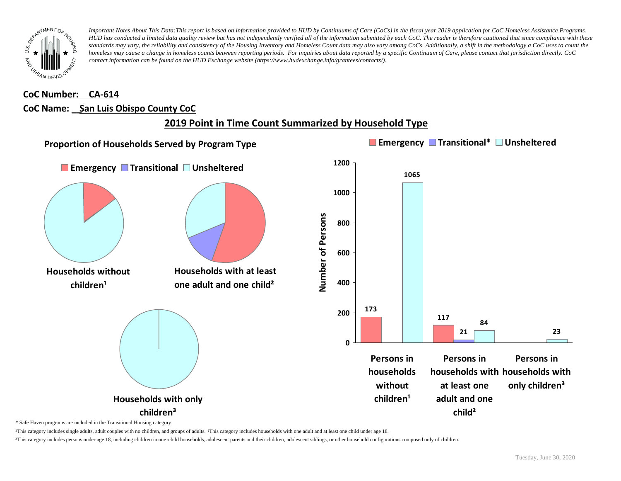

# **CoC Number: CA-614 CoC Name: \_\_ San Luis Obispo County CoC**

# **2019 Point in Time Count Summarized by Household Type**



\* Safe Haven programs are included in the Transitional Housing category.

¹This category includes single adults, adult couples with no children, and groups of adults. ²This category includes households with one adult and at least one child under age 18.

³This category includes persons under age 18, including children in one-child households, adolescent parents and their children, adolescent siblings, or other household configurations composed only of children.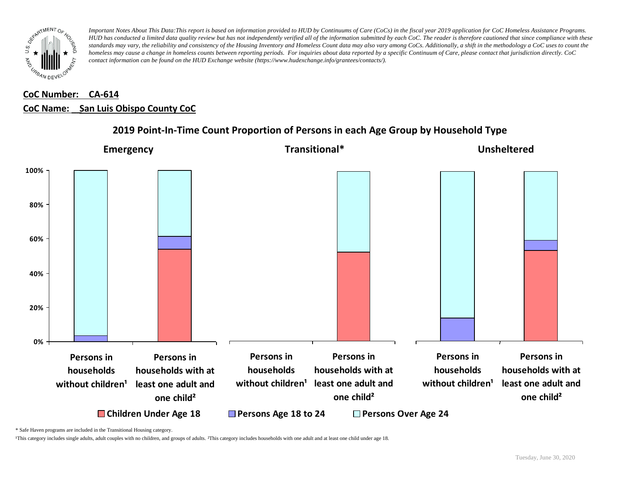

# **CoC Number: CA-614 CoC Name: \_\_ San Luis Obispo County CoC**



## **2019 Point-In-Time Count Proportion of Persons in each Age Group by Household Type**

\* Safe Haven programs are included in the Transitional Housing category.

¹This category includes single adults, adult couples with no children, and groups of adults. ²This category includes households with one adult and at least one child under age 18.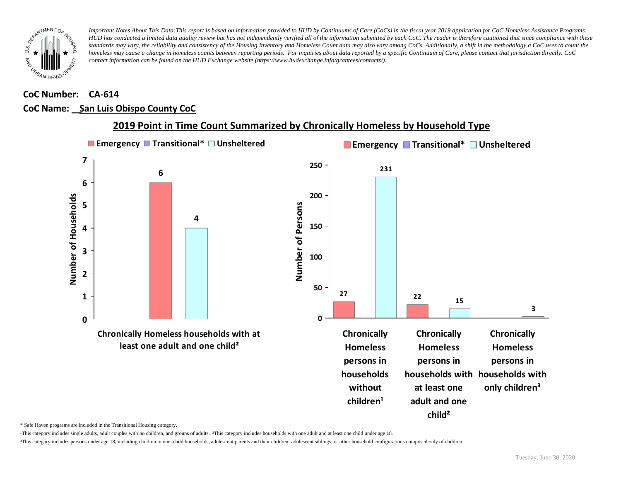

#### **CoC Number: CA-614**

#### **CoC Name: \_\_ San Luis Obispo County CoC**



## **2019 Point in Time Count Summarized by Chronically Homeless by Household Type**

\* Safe Haven programs are included in the Transitional Housing category.

¹This category includes single adults, adult couples with no children, and groups of adults. ²This category includes households with one adult and at least one child under age 18.

³This category includes persons under age 18, including children in one -child households, adolescent parents and their children, adolescent siblings, or other household configurations composed only of children.